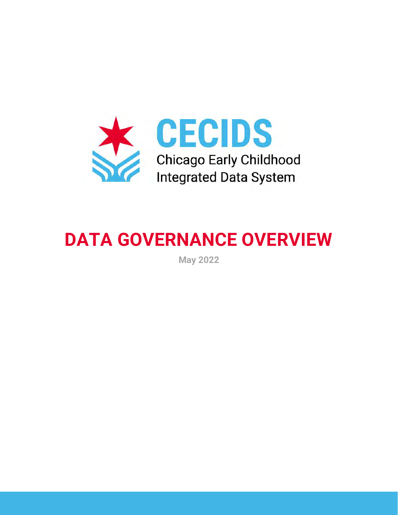

# **DATA GOVERNANCE OVERVIEW**

**May 2022**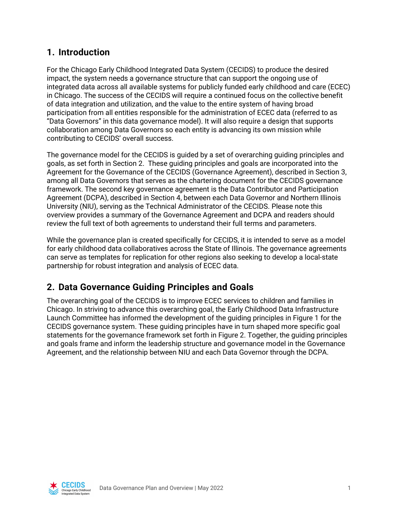## **1. Introduction**

For the Chicago Early Childhood Integrated Data System (CECIDS) to produce the desired impact, the system needs a governance structure that can support the ongoing use of integrated data across all available systems for publicly funded early childhood and care (ECEC) in Chicago. The success of the CECIDS will require a continued focus on the collective benefit of data integration and utilization, and the value to the entire system of having broad participation from all entities responsible for the administration of ECEC data (referred to as "Data Governors" in this data governance model). It will also require a design that supports collaboration among Data Governors so each entity is advancing its own mission while contributing to CECIDS' overall success.

The governance model for the CECIDS is guided by a set of overarching guiding principles and goals, as set forth in Section 2. These guiding principles and goals are incorporated into the Agreement for the Governance of the CECIDS (Governance Agreement), described in Section 3, among all Data Governors that serves as the chartering document for the CECIDS governance framework. The second key governance agreement is the Data Contributor and Participation Agreement (DCPA), described in Section 4, between each Data Governor and Northern Illinois University (NIU), serving as the Technical Administrator of the CECIDS. Please note this overview provides a summary of the Governance Agreement and DCPA and readers should review the full text of both agreements to understand their full terms and parameters.

While the governance plan is created specifically for CECIDS, it is intended to serve as a model for early childhood data collaboratives across the State of Illinois. The governance agreements can serve as templates for replication for other regions also seeking to develop a local-state partnership for robust integration and analysis of ECEC data.

# **2. Data Governance Guiding Principles and Goals**

The overarching goal of the CECIDS is to improve ECEC services to children and families in Chicago. In striving to advance this overarching goal, the Early Childhood Data Infrastructure Launch Committee has informed the development of the guiding principles in Figure 1 for the CECIDS governance system. These guiding principles have in turn shaped more specific goal statements for the governance framework set forth in Figure 2. Together, the guiding principles and goals frame and inform the leadership structure and governance model in the Governance Agreement, and the relationship between NIU and each Data Governor through the DCPA.

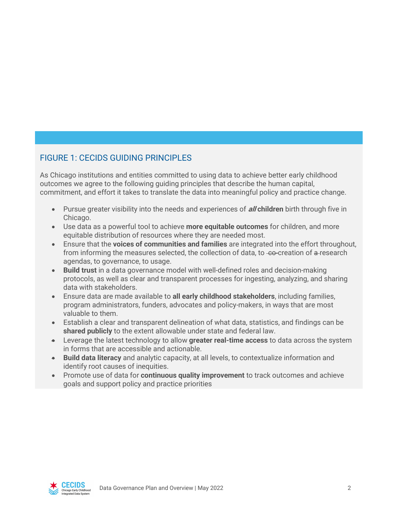## FIGURE 1: CECIDS GUIDING PRINCIPLES

As Chicago institutions and entities committed to using data to achieve better early childhood outcomes we agree to the following guiding principles that describe the human capital, commitment, and effort it takes to translate the data into meaningful policy and practice change.

- Pursue greater visibility into the needs and experiences of **all children** birth through five in Chicago.
- Use data as a powerful tool to achieve **more equitable outcomes** for children, and more equitable distribution of resources where they are needed most.
- Ensure that the **voices of communities and families** are integrated into the effort throughout, from informing the measures selected, the collection of data, to -ee-creation of a-research agendas, to governance, to usage.
- **Build trust** in a data governance model with well-defined roles and decision-making protocols, as well as clear and transparent processes for ingesting, analyzing, and sharing data with stakeholders.
- Ensure data are made available to **all early childhood stakeholders**, including families, program administrators, funders, advocates and policy-makers, in ways that are most valuable to them.
- Establish a clear and transparent delineation of what data, statistics, and findings can be **shared publicly** to the extent allowable under state and federal law.
- Leverage the latest technology to allow **greater real-time access** to data across the system in forms that are accessible and actionable.
- **Build data literacy** and analytic capacity, at all levels, to contextualize information and identify root causes of inequities.
- Promote use of data for **continuous quality improvement** to track outcomes and achieve goals and support policy and practice priorities

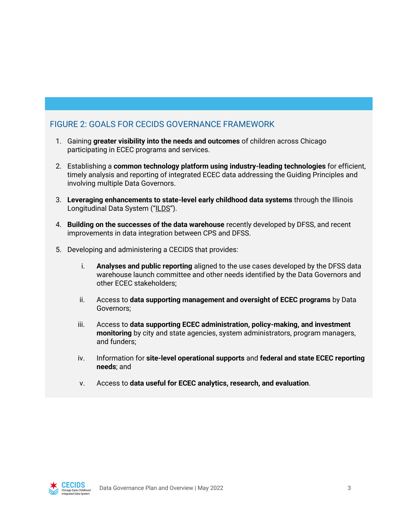## FIGURE 2: GOALS FOR CECIDS GOVERNANCE FRAMEWORK

- 1. Gaining **greater visibility into the needs and outcomes** of children across Chicago participating in ECEC programs and services.
- 2. Establishing a **common technology platform using industry-leading technologies** for efficient, timely analysis and reporting of integrated ECEC data addressing the Guiding Principles and involving multiple Data Governors.
- 3. **Leveraging enhancements to state-level early childhood data systems** through the Illinois Longitudinal Data System ("ILDS").
- 4. **Building on the successes of the data warehouse** recently developed by DFSS, and recent improvements in data integration between CPS and DFSS.
- 5. Developing and administering a CECIDS that provides:
	- i. **Analyses and public reporting** aligned to the use cases developed by the DFSS data warehouse launch committee and other needs identified by the Data Governors and other ECEC stakeholders;
	- ii. Access to **data supporting management and oversight of ECEC programs** by Data Governors;
	- iii. Access to **data supporting ECEC administration, policy-making, and investment monitoring** by city and state agencies, system administrators, program managers, and funders;
	- iv. Information for **site-level operational supports** and **federal and state ECEC reporting needs**; and
	- v. Access to **data useful for ECEC analytics, research, and evaluation**.

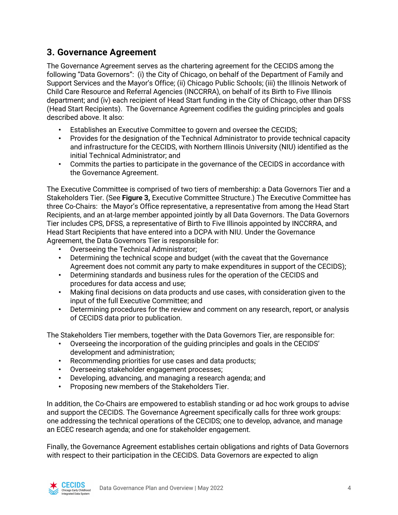# **3. Governance Agreement**

The Governance Agreement serves as the chartering agreement for the CECIDS among the following "Data Governors": (i) the City of Chicago, on behalf of the Department of Family and Support Services and the Mayor's Office; (ii) Chicago Public Schools; (iii) the Illinois Network of Child Care Resource and Referral Agencies (INCCRRA), on behalf of its Birth to Five Illinois department; and (iv) each recipient of Head Start funding in the City of Chicago, other than DFSS (Head Start Recipients). The Governance Agreement codifies the guiding principles and goals described above. It also:

- Establishes an Executive Committee to govern and oversee the CECIDS;
- Provides for the designation of the Technical Administrator to provide technical capacity and infrastructure for the CECIDS, with Northern Illinois University (NIU) identified as the initial Technical Administrator; and
- Commits the parties to participate in the governance of the CECIDS in accordance with the Governance Agreement.

The Executive Committee is comprised of two tiers of membership: a Data Governors Tier and a Stakeholders Tier. (See **Figure 3,** Executive Committee Structure.) The Executive Committee has three Co-Chairs: the Mayor's Office representative, a representative from among the Head Start Recipients, and an at-large member appointed jointly by all Data Governors. The Data Governors Tier includes CPS, DFSS, a representative of Birth to Five Illinois appointed by INCCRRA, and Head Start Recipients that have entered into a DCPA with NIU. Under the Governance Agreement, the Data Governors Tier is responsible for:

- Overseeing the Technical Administrator;
- Determining the technical scope and budget (with the caveat that the Governance Agreement does not commit any party to make expenditures in support of the CECIDS);
- Determining standards and business rules for the operation of the CECIDS and procedures for data access and use;
- Making final decisions on data products and use cases, with consideration given to the input of the full Executive Committee; and
- Determining procedures for the review and comment on any research, report, or analysis of CECIDS data prior to publication.

The Stakeholders Tier members, together with the Data Governors Tier, are responsible for:

- Overseeing the incorporation of the guiding principles and goals in the CECIDS' development and administration;
- Recommending priorities for use cases and data products;
- Overseeing stakeholder engagement processes;
- Developing, advancing, and managing a research agenda; and
- Proposing new members of the Stakeholders Tier.

In addition, the Co-Chairs are empowered to establish standing or ad hoc work groups to advise and support the CECIDS. The Governance Agreement specifically calls for three work groups: one addressing the technical operations of the CECIDS; one to develop, advance, and manage an ECEC research agenda; and one for stakeholder engagement.

Finally, the Governance Agreement establishes certain obligations and rights of Data Governors with respect to their participation in the CECIDS. Data Governors are expected to align

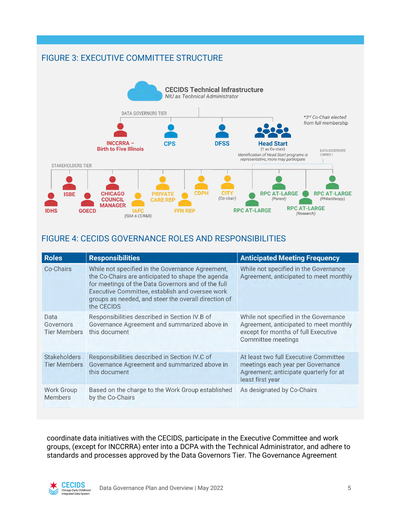## FIGURE 3: EXECUTIVE COMMITTEE STRUCTURE



#### FIGURE 4: CECIDS GOVERNANCE ROLES AND RESPONSIBILITIES

| <b>Roles</b>                               | <b>Responsibilities</b>                                                                                                                                                                                                                                                                                                                                                 | <b>Anticipated Meeting Frequency</b>                                                                                                         |
|--------------------------------------------|-------------------------------------------------------------------------------------------------------------------------------------------------------------------------------------------------------------------------------------------------------------------------------------------------------------------------------------------------------------------------|----------------------------------------------------------------------------------------------------------------------------------------------|
| Co-Chairs                                  | While not specified in the Governance Agreement,<br>While not specified in the Governance<br>Agreement, anticipated to meet monthly<br>the Co-Chairs are anticipated to shape the agenda<br>for meetings of the Data Governors and of the full<br>Executive Committee, establish and oversee work<br>groups as needed, and steer the overall direction of<br>the CECIDS |                                                                                                                                              |
| Data<br>Governors<br><b>Tier Members</b>   | Responsibilities described in Section IV.B of<br>Governance Agreement and summarized above in<br>this document                                                                                                                                                                                                                                                          | While not specified in the Governance<br>Agreement, anticipated to meet monthly<br>except for months of full Executive<br>Committee meetings |
| <b>Stakeholders</b><br><b>Tier Members</b> | Responsibilities described in Section IV.C of<br>Governance Agreement and summarized above in<br>this document                                                                                                                                                                                                                                                          | At least two full Executive Committee<br>meetings each year per Governance<br>Agreement; anticipate quarterly for at<br>least first year     |
| Work Group<br><b>Members</b>               | Based on the charge to the Work Group established<br>by the Co-Chairs                                                                                                                                                                                                                                                                                                   | As designated by Co-Chairs                                                                                                                   |

coordinate data initiatives with the CECIDS, participate in the Executive Committee and work groups, (except for INCCRRA) enter into a DCPA with the Technical Administrator, and adhere to standards and processes approved by the Data Governors Tier. The Governance Agreement

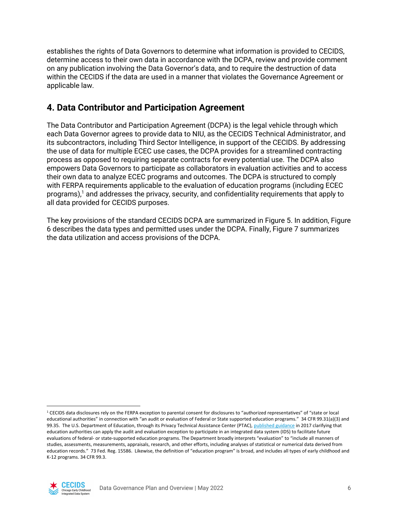establishes the rights of Data Governors to determine what information is provided to CECIDS, determine access to their own data in accordance with the DCPA, review and provide comment on any publication involving the Data Governor's data, and to require the destruction of data within the CECIDS if the data are used in a manner that violates the Governance Agreement or applicable law.

## **4. Data Contributor and Participation Agreement**

The Data Contributor and Participation Agreement (DCPA) is the legal vehicle through which each Data Governor agrees to provide data to NIU, as the CECIDS Technical Administrator, and its subcontractors, including Third Sector Intelligence, in support of the CECIDS. By addressing the use of data for multiple ECEC use cases, the DCPA provides for a streamlined contracting process as opposed to requiring separate contracts for every potential use. The DCPA also empowers Data Governors to participate as collaborators in evaluation activities and to access their own data to analyze ECEC programs and outcomes. The DCPA is structured to comply with FERPA requirements applicable to the evaluation of education programs (including ECEC programs), $<sup>1</sup>$  and addresses the privacy, security, and confidentiality requirements that apply to</sup> all data provided for CECIDS purposes.

The key provisions of the standard CECIDS DCPA are summarized in Figure 5. In addition, Figure 6 describes the data types and permitted uses under the DCPA. Finally, Figure 7 summarizes the data utilization and access provisions of the DCPA.

<sup>1</sup> CECIDS data disclosures rely on the FERPA exception to parental consent for disclosures to "authorized representatives" of "state or local educational authorities" in connection with "an audit or evaluation of Federal or State supported education programs." 34 CFR 99.31(a)(3) and 99.35. The U.S. Department of Education, through its Privacy Technical Assistance Center (PTAC)[, published guidance](https://studentprivacy.ed.gov/resources/integrated-data-systems-and-student-privacy) in 2017 clarifying that education authorities can apply the audit and evaluation exception to participate in an integrated data system (IDS) to facilitate future evaluations of federal- or state-supported education programs. The Department broadly interprets "evaluation" to "include all manners of studies, assessments, measurements, appraisals, research, and other efforts, including analyses of statistical or numerical data derived from education records." 73 Fed. Reg. 15586. Likewise, the definition of "education program" is broad, and includes all types of early childhood and K-12 programs. 34 CFR 99.3.

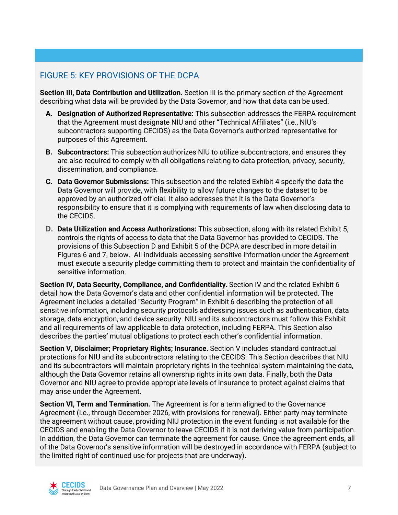## FIGURE 5: KEY PROVISIONS OF THE DCPA

**Section III, Data Contribution and Utilization.** Section III is the primary section of the Agreement describing what data will be provided by the Data Governor, and how that data can be used.

- **A. Designation of Authorized Representative:** This subsection addresses the FERPA requirement that the Agreement must designate NIU and other "Technical Affiliates" (i.e., NIU's subcontractors supporting CECIDS) as the Data Governor's authorized representative for purposes of this Agreement.
- **B. Subcontractors:** This subsection authorizes NIU to utilize subcontractors, and ensures they are also required to comply with all obligations relating to data protection, privacy, security, dissemination, and compliance.
- **C. Data Governor Submissions:** This subsection and the related Exhibit 4 specify the data the Data Governor will provide, with flexibility to allow future changes to the dataset to be approved by an authorized official. It also addresses that it is the Data Governor's responsibility to ensure that it is complying with requirements of law when disclosing data to the CECIDS.
- **D. Data Utilization and Access Authorizations:** This subsection, along with its related Exhibit 5, controls the rights of access to data that the Data Governor has provided to CECIDS. The provisions of this Subsection D and Exhibit 5 of the DCPA are described in more detail in Figures 6 and 7, below. All individuals accessing sensitive information under the Agreement must execute a security pledge committing them to protect and maintain the confidentiality of sensitive information.

**Section IV, Data Security, Compliance, and Confidentiality.** Section IV and the related Exhibit 6 detail how the Data Governor's data and other confidential information will be protected. The Agreement includes a detailed "Security Program" in Exhibit 6 describing the protection of all sensitive information, including security protocols addressing issues such as authentication, data storage, data encryption, and device security. NIU and its subcontractors must follow this Exhibit and all requirements of law applicable to data protection, including FERPA. This Section also describes the parties' mutual obligations to protect each other's confidential information.

**Section V, Disclaimer; Proprietary Rights; Insurance.** Section V includes standard contractual protections for NIU and its subcontractors relating to the CECIDS. This Section describes that NIU and its subcontractors will maintain proprietary rights in the technical system maintaining the data, although the Data Governor retains all ownership rights in its own data. Finally, both the Data Governor and NIU agree to provide appropriate levels of insurance to protect against claims that may arise under the Agreement.

**Section VI, Term and Termination.** The Agreement is for a term aligned to the Governance Agreement (i.e., through December 2026, with provisions for renewal). Either party may terminate the agreement without cause, providing NIU protection in the event funding is not available for the CECIDS and enabling the Data Governor to leave CECIDS if it is not deriving value from participation. In addition, the Data Governor can terminate the agreement for cause. Once the agreement ends, all of the Data Governor's sensitive information will be destroyed in accordance with FERPA (subject to the limited right of continued use for projects that are underway).

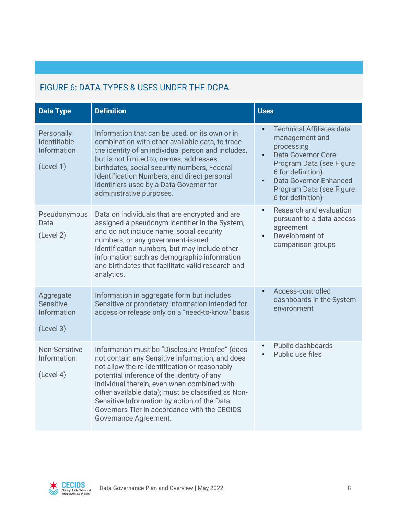# FIGURE 6: DATA TYPES & USES UNDER THE DCPA

| <b>Data Type</b>                                          | <b>Definition</b>                                                                                                                                                                                                                                                                                                                                                                                                            | <b>Uses</b>                                                                                                                                                                                                                                         |
|-----------------------------------------------------------|------------------------------------------------------------------------------------------------------------------------------------------------------------------------------------------------------------------------------------------------------------------------------------------------------------------------------------------------------------------------------------------------------------------------------|-----------------------------------------------------------------------------------------------------------------------------------------------------------------------------------------------------------------------------------------------------|
| Personally<br>Identifiable<br>Information<br>(Level 1)    | Information that can be used, on its own or in<br>combination with other available data, to trace<br>the identity of an individual person and includes,<br>but is not limited to, names, addresses,<br>birthdates, social security numbers, Federal<br>Identification Numbers, and direct personal<br>identifiers used by a Data Governor for<br>administrative purposes.                                                    | <b>Technical Affiliates data</b><br>$\bullet$<br>management and<br>processing<br>Data Governor Core<br>$\bullet$<br>Program Data (see Figure<br>6 for definition)<br><b>Data Governor Enhanced</b><br>Program Data (see Figure<br>6 for definition) |
| Pseudonymous<br>Data<br>(Level 2)                         | Data on individuals that are encrypted and are<br>assigned a pseudonym identifier in the System,<br>and do not include name, social security<br>numbers, or any government-issued<br>identification numbers, but may include other<br>information such as demographic information<br>and birthdates that facilitate valid research and<br>analytics.                                                                         | Research and evaluation<br>$\bullet$<br>pursuant to a data access<br>agreement<br>Development of<br>$\bullet$<br>comparison groups                                                                                                                  |
| Aggregate<br><b>Sensitive</b><br>Information<br>(Level 3) | Information in aggregate form but includes<br>Sensitive or proprietary information intended for<br>access or release only on a "need-to-know" basis                                                                                                                                                                                                                                                                          | Access-controlled<br>$\bullet$<br>dashboards in the System<br>environment                                                                                                                                                                           |
| <b>Non-Sensitive</b><br>Information<br>(Level 4)          | Information must be "Disclosure-Proofed" (does<br>not contain any Sensitive Information, and does<br>not allow the re-identification or reasonably<br>potential inference of the identity of any<br>individual therein, even when combined with<br>other available data); must be classified as Non-<br>Sensitive Information by action of the Data<br>Governors Tier in accordance with the CECIDS<br>Governance Agreement. | Public dashboards<br>Public use files                                                                                                                                                                                                               |